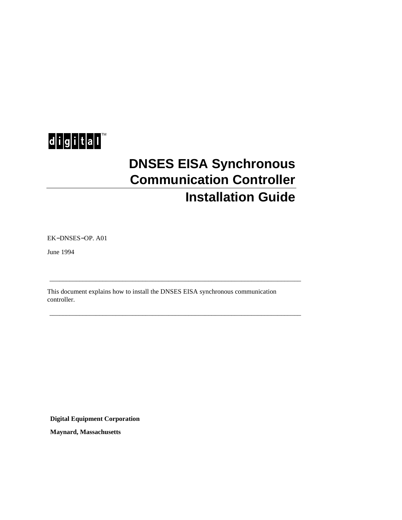

# **DNSES EISA Synchronous Communication Controller Installation Guide**

EK−DNSES−OP. A01

June 1994

This document explains how to install the DNSES EISA synchronous communication controller.

\_\_\_\_\_\_\_\_\_\_\_\_\_\_\_\_\_\_\_\_\_\_\_\_\_\_\_\_\_\_\_\_\_\_\_\_\_\_\_\_\_\_\_\_\_\_\_\_\_\_\_\_\_\_\_\_\_\_\_\_\_\_\_\_\_\_\_\_\_\_\_\_\_\_\_\_

\_\_\_\_\_\_\_\_\_\_\_\_\_\_\_\_\_\_\_\_\_\_\_\_\_\_\_\_\_\_\_\_\_\_\_\_\_\_\_\_\_\_\_\_\_\_\_\_\_\_\_\_\_\_\_\_\_\_\_\_\_\_\_\_\_\_\_\_\_\_\_\_\_\_\_\_

**Digital Equipment Corporation**

**Maynard, Massachusetts**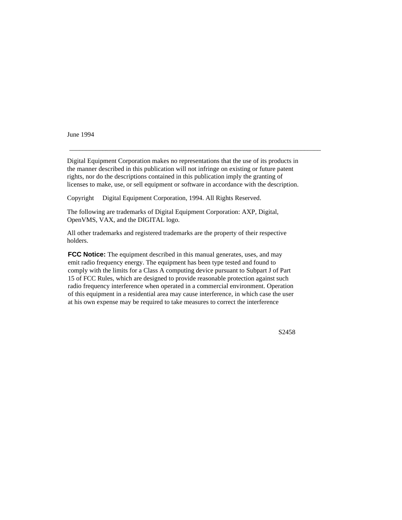June 1994

Digital Equipment Corporation makes no representations that the use of its products in the manner described in this publication will not infringe on existing or future patent rights, nor do the descriptions contained in this publication imply the granting of licenses to make, use, or sell equipment or software in accordance with the description.

\_\_\_\_\_\_\_\_\_\_\_\_\_\_\_\_\_\_\_\_\_\_\_\_\_\_\_\_\_\_\_\_\_\_\_\_\_\_\_\_\_\_\_\_\_\_\_\_\_\_\_\_\_\_\_\_\_\_\_\_\_\_\_\_\_\_\_\_\_\_\_\_\_\_\_\_

Copyright © Digital Equipment Corporation, 1994. All Rights Reserved.

The following are trademarks of Digital Equipment Corporation: AXP, Digital, OpenVMS, VAX, and the DIGITAL logo.

All other trademarks and registered trademarks are the property of their respective holders.

**FCC Notice:** The equipment described in this manual generates, uses, and may emit radio frequency energy. The equipment has been type tested and found to comply with the limits for a Class A computing device pursuant to Subpart J of Part 15 of FCC Rules, which are designed to provide reasonable protection against such radio frequency interference when operated in a commercial environment. Operation of this equipment in a residential area may cause interference, in which case the user at his own expense may be required to take measures to correct the interference

S2458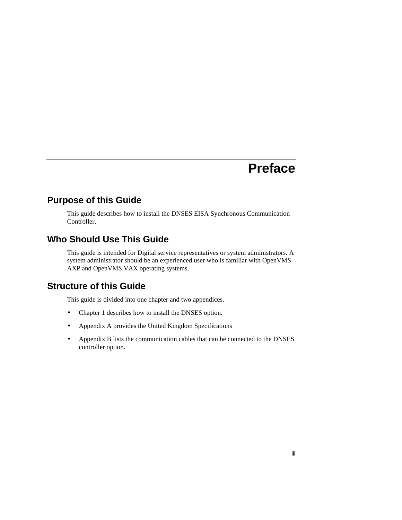# **Preface**

# **Purpose of this Guide**

This guide describes how to install the DNSES EISA Synchronous Communication Controller.

# **Who Should Use This Guide**

This guide is intended for Digital service representatives or system administrators. A system administrator should be an experienced user who is familiar with OpenVMS AXP and OpenVMS VAX operating systems.

# **Structure of this Guide**

This guide is divided into one chapter and two appendices.

- Chapter 1 describes how to install the DNSES option.
- Appendix A provides the United Kingdom Specifications
- Appendix B lists the communication cables that can be connected to the DNSES controller option.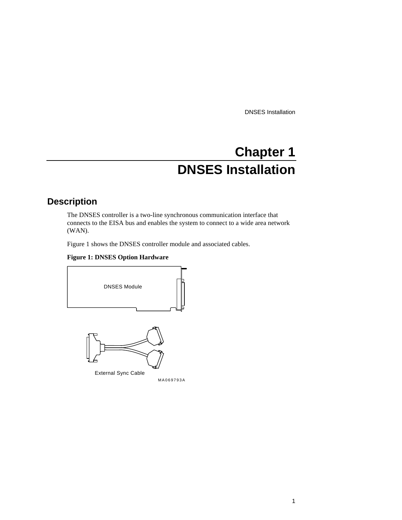# **Chapter 1 DNSES Installation**

# **Description**

The DNSES controller is a two-line synchronous communication interface that connects to the EISA bus and enables the system to connect to a wide area network (WAN).

Figure 1 shows the DNSES controller module and associated cables.

#### **Figure 1: DNSES Option Hardware**

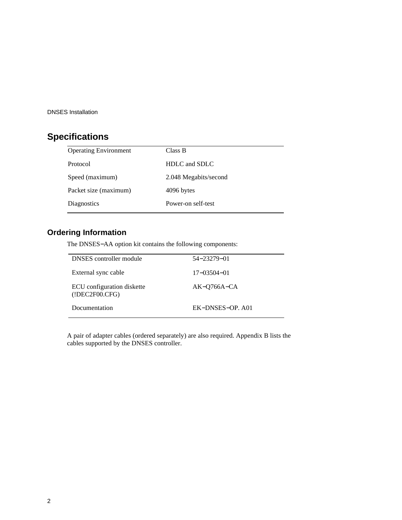# **Specifications**

| Class B               |
|-----------------------|
| HDLC and SDLC         |
| 2.048 Megabits/second |
| 4096 bytes            |
| Power-on self-test    |
|                       |

# **Ordering Information**

The DNSES−AA option kit contains the following components:

| <b>DNSES</b> controller module               | 54-23279-01       |
|----------------------------------------------|-------------------|
| External sync cable                          | $17 - 03504 - 01$ |
| ECU configuration diskette<br>(1DEC2FO0.CFG) | $AK-O766A-CA$     |
| Documentation                                | EK-DNSES-OP. A01  |

A pair of adapter cables (ordered separately) are also required. Appendix B lists the cables supported by the DNSES controller.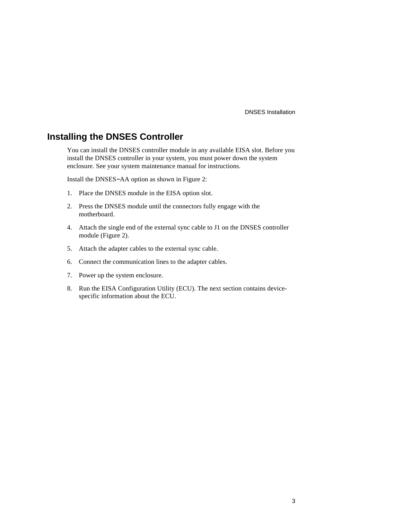## **Installing the DNSES Controller**

You can install the DNSES controller module in any available EISA slot. Before you install the DNSES controller in your system, you must power down the system enclosure. See your system maintenance manual for instructions.

Install the DNSES−AA option as shown in Figure 2:

- 1. Place the DNSES module in the EISA option slot.
- 2. Press the DNSES module until the connectors fully engage with the motherboard.
- 4. Attach the single end of the external sync cable to J1 on the DNSES controller module (Figure 2).
- 5. Attach the adapter cables to the external sync cable.
- 6. Connect the communication lines to the adapter cables.
- 7. Power up the system enclosure.
- 8. Run the EISA Configuration Utility (ECU). The next section contains devicespecific information about the ECU.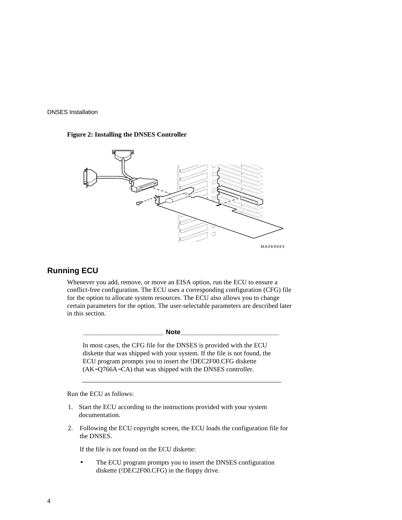#### **Figure 2: Installing the DNSES Controller**



## **Running ECU**

Whenever you add, remove, or move an EISA option, run the ECU to ensure a conflict-free configuration. The ECU uses a corresponding configuration (CFG) file for the option to allocate system resources. The ECU also allows you to change certain parameters for the option. The user-selectable parameters are described later in this section.

**\_\_\_\_\_\_\_\_\_\_\_\_\_\_\_\_\_\_\_\_\_\_ Note\_\_\_\_\_\_\_\_\_\_\_\_\_\_\_\_\_\_\_\_\_\_\_\_\_\_\_**

In most cases, the CFG file for the DNSES is provided with the ECU diskette that was shipped with your system. If the file is not found, the ECU program prompts you to insert the !DEC2F00.CFG diskette (AK−Q766A−CA) that was shipped with the DNSES controller.

Run the ECU as follows:

- 1. Start the ECU according to the instructions provided with your system documentation.
- 2. Following the ECU copyright screen, the ECU loads the configuration file for the DNSES.

If the file is not found on the ECU diskette:

The ECU program prompts you to insert the DNSES configuration diskette (!DEC2F00.CFG) in the floppy drive.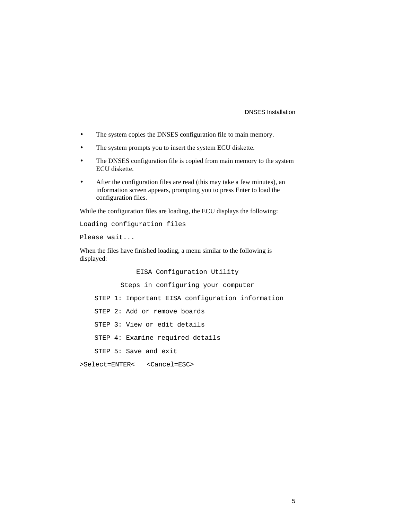- The system copies the DNSES configuration file to main memory.
- The system prompts you to insert the system ECU diskette.
- The DNSES configuration file is copied from main memory to the system ECU diskette.
- After the configuration files are read (this may take a few minutes), an information screen appears, prompting you to press Enter to load the configuration files.

While the configuration files are loading, the ECU displays the following:

```
Loading configuration files
```
Please wait...

When the files have finished loading, a menu similar to the following is displayed:

EISA Configuration Utility

Steps in configuring your computer

STEP 1: Important EISA configuration information

STEP 2: Add or remove boards

STEP 3: View or edit details

STEP 4: Examine required details

STEP 5: Save and exit

>Select=ENTER< <Cancel=ESC>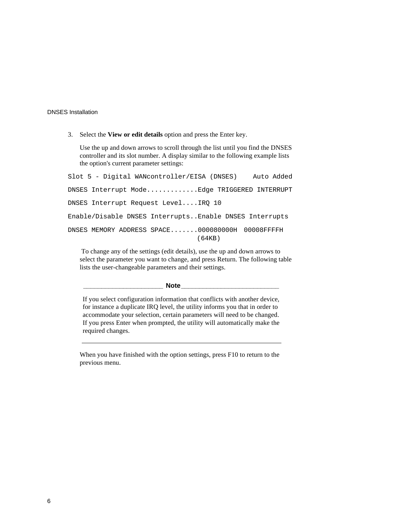3. Select the **View or edit details** option and press the Enter key.

Use the up and down arrows to scroll through the list until you find the DNSES controller and its slot number. A display similar to the following example lists the option's current parameter settings:

Slot 5 - Digital WANcontroller/EISA (DNSES) Auto Added DNSES Interrupt Mode.............Edge TRIGGERED INTERRUPT DNSES Interrupt Request Level....IRQ 10 Enable/Disable DNSES Interrupts..Enable DNSES Interrupts  $DNS$  MEMORY ADDRESS SPACE.......000080000H-00008FFFFH (64KB)

 To change any of the settings (edit details), use the up and down arrows to select the parameter you want to change, and press Return. The following table lists the user-changeable parameters and their settings.

#### **\_\_\_\_\_\_\_\_\_\_\_\_\_\_\_\_\_\_\_\_\_\_ Note\_\_\_\_\_\_\_\_\_\_\_\_\_\_\_\_\_\_\_\_\_\_\_\_\_\_\_**

If you select configuration information that conflicts with another device, for instance a duplicate IRQ level, the utility informs you that in order to accommodate your selection, certain parameters will need to be changed. If you press Enter when prompted, the utility will automatically make the required changes.

When you have finished with the option settings, press F10 to return to the previous menu.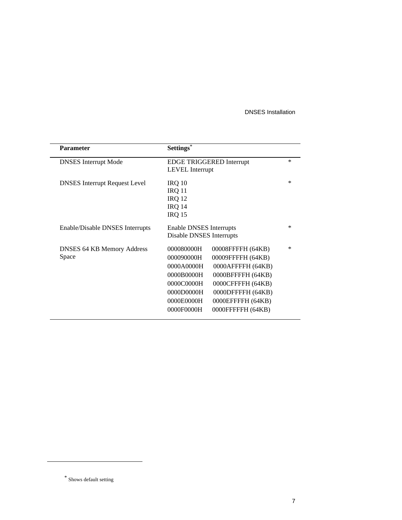| <b>Parameter</b>                     | Settings*                           |        |
|--------------------------------------|-------------------------------------|--------|
| <b>DNSES</b> Interrupt Mode          | EDGE TRIGGERED Interrupt            | $\ast$ |
|                                      | LEVEL Interrupt                     |        |
| <b>DNSES</b> Interrupt Request Level | IRQ 10                              | ∗      |
|                                      | <b>IRQ 11</b>                       |        |
|                                      | <b>IRQ 12</b>                       |        |
|                                      | <b>IRQ 14</b>                       |        |
|                                      | <b>IRQ 15</b>                       |        |
| Enable/Disable DNSES Interrupts      | Enable DNSES Interrupts             | $\ast$ |
|                                      | Disable DNSES Interrupts            |        |
| <b>DNSES 64 KB Memory Address</b>    | 000080000H — 00008FFFFH (64KB)      | ∗      |
| Space                                | 000090000H — 00009FFFFH (64KB)      |        |
|                                      | $0000A0000H - 0000A$ FFFFH $(64KB)$ |        |
|                                      | $0000B0000H - 0000B$ FFFFH $(64KB)$ |        |
|                                      | $0000000000H - 0000CFFFFH(64KB)$    |        |
|                                      | 0000D0000H-0000DFFFFH (64KB)        |        |
|                                      | $0000E0000H - 0000EFFFH(64KB)$      |        |
|                                      | 0000F0000H - 0000FFFFFH (64KB)      |        |

<sup>\*</sup> Shows default setting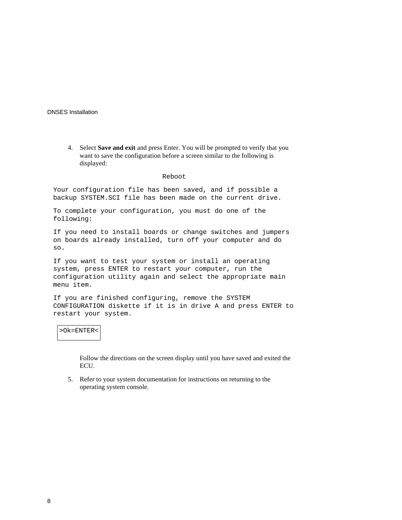4. Select **Save and exit** and press Enter. You will be prompted to verify that you want to save the configuration before a screen similar to the following is displayed:

#### Reboot

Your configuration file has been saved, and if possible a backup SYSTEM.SCI file has been made on the current drive.

To complete your configuration, you must do one of the following:

If you need to install boards or change switches and jumpers on boards already installed, turn off your computer and do so.

If you want to test your system or install an operating system, press ENTER to restart your computer, run the configuration utility again and select the appropriate main menu item.

If you are finished configuring, remove the SYSTEM CONFIGURATION diskette if it is in drive A and press ENTER to restart your system.

#### >Ok=ENTER<

Follow the directions on the screen display until you have saved and exited the ECU.

5. Refer to your system documentation for instructions on returning to the operating system console.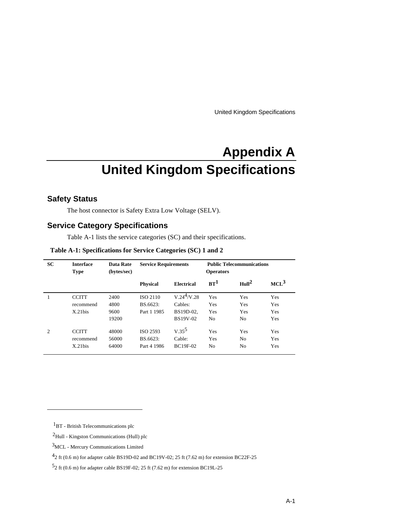United Kingdom Specifications

# **Appendix A United Kingdom Specifications**

### **Safety Status**

The host connector is Safety Extra Low Voltage (SELV).

## **Service Category Specifications**

Table A-1 lists the service categories (SC) and their specifications.

| Table A-1: Specifications for Service Categories (SC) 1 and 2 |  |  |  |  |  |  |  |  |  |
|---------------------------------------------------------------|--|--|--|--|--|--|--|--|--|
|---------------------------------------------------------------|--|--|--|--|--|--|--|--|--|

| <b>SC</b>      | <b>Interface</b><br><b>Type</b>         | Data Rate<br>(bytes/sec)      | <b>Service Requirements</b>                |                                                           | <b>Operators</b>                    | <b>Public Telecommunications</b>       |                          |
|----------------|-----------------------------------------|-------------------------------|--------------------------------------------|-----------------------------------------------------------|-------------------------------------|----------------------------------------|--------------------------|
|                |                                         |                               | <b>Physical</b>                            | <b>Electrical</b>                                         | $BT^1$                              | Hull <sup>2</sup>                      | $MCL^3$                  |
| 1              | <b>CCITT</b><br>recommend<br>$X.21$ bis | 2400<br>4800<br>9600<br>19200 | <b>ISO 2110</b><br>BS.6623:<br>Part 1 1985 | $V.24^4$ /V.28<br>Cables:<br>BS19D-02.<br><b>BS19V-02</b> | Yes<br>Yes<br>Yes<br>N <sub>0</sub> | <b>Yes</b><br>Yes<br><b>Yes</b><br>No. | Yes<br>Yes<br>Yes<br>Yes |
| $\overline{c}$ | <b>CCITT</b><br>recommend<br>$X.21$ bis | 48000<br>56000<br>64000       | ISO 2593<br>BS.6623:<br>Part 4 1986        | $V.35^5$<br>Cable:<br><b>BC19F-02</b>                     | Yes<br>Yes<br>No.                   | Yes<br>N <sub>0</sub><br>No.           | Yes<br>Yes<br>Yes        |

<sup>1</sup>BT - British Telecommunications plc

<sup>2</sup>Hull - Kingston Communications (Hull) plc

<sup>3</sup>MCL - Mercury Communications Limited

 $^{4}$ 2 ft (0.6 m) for adapter cable BS19D-02 and BC19V-02; 25 ft (7.62 m) for extension BC22F-25

<sup>5</sup> 2 ft (0.6 m) for adapter cable BS19F-02; 25 ft (7.62 m) for extension BC19L-25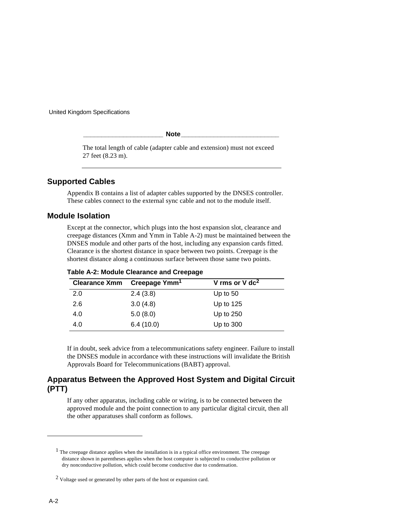United Kingdom Specifications

**\_\_\_\_\_\_\_\_\_\_\_\_\_\_\_\_\_\_\_\_\_\_ Note\_\_\_\_\_\_\_\_\_\_\_\_\_\_\_\_\_\_\_\_\_\_\_\_\_\_\_**

The total length of cable (adapter cable and extension) must not exceed 27 feet (8.23 m).

### **Supported Cables**

Appendix B contains a list of adapter cables supported by the DNSES controller. These cables connect to the external sync cable and not to the module itself.

#### **Module Isolation**

Except at the connector, which plugs into the host expansion slot, clearance and creepage distances (Xmm and Ymm in Table A-2) must be maintained between the DNSES module and other parts of the host, including any expansion cards fitted. Clearance is the shortest distance in space between two points. Creepage is the shortest distance along a continuous surface between those same two points.

| <b>Clearance Xmm</b> | Creepage Ymm <sup>1</sup> | V rms or $V$ dc <sup>2</sup> |
|----------------------|---------------------------|------------------------------|
| 2.0                  | 2.4(3.8)                  | Up to $50$                   |
| 2.6                  | 3.0(4.8)                  | Up to $125$                  |
| 4.0                  | 5.0(8.0)                  | Up to $250$                  |
| 4.0                  | 6.4(10.0)                 | Up to $300$                  |

**Table A-2: Module Clearance and Creepage**

If in doubt, seek advice from a telecommunications safety engineer. Failure to install the DNSES module in accordance with these instructions will invalidate the British Approvals Board for Telecommunications (BABT) approval.

## **Apparatus Between the Approved Host System and Digital Circuit (PTT)**

If any other apparatus, including cable or wiring, is to be connected between the approved module and the point connection to any particular digital circuit, then all the other apparatuses shall conform as follows.

<sup>&</sup>lt;sup>1</sup> The creepage distance applies when the installation is in a typical office environment. The creepage distance shown in parentheses applies when the host computer is subjected to conductive pollution or dry nonconductive pollution, which could become conductive due to condensation.

<sup>&</sup>lt;sup>2</sup> Voltage used or generated by other parts of the host or expansion card.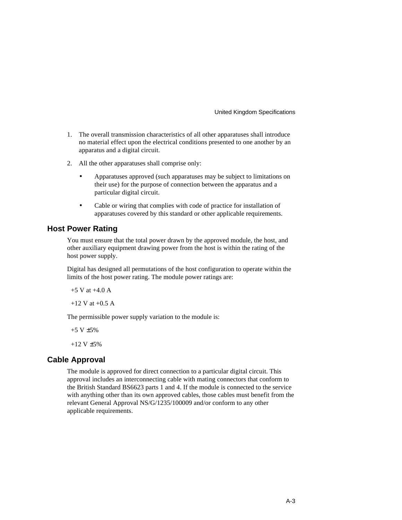United Kingdom Specifications

- 1. The overall transmission characteristics of all other apparatuses shall introduce no material effect upon the electrical conditions presented to one another by an apparatus and a digital circuit.
- 2. All the other apparatuses shall comprise only:
	- Apparatuses approved (such apparatuses may be subject to limitations on their use) for the purpose of connection between the apparatus and a particular digital circuit.
	- Cable or wiring that complies with code of practice for installation of apparatuses covered by this standard or other applicable requirements.

### **Host Power Rating**

You must ensure that the total power drawn by the approved module, the host, and other auxiliary equipment drawing power from the host is within the rating of the host power supply.

Digital has designed all permutations of the host configuration to operate within the limits of the host power rating. The module power ratings are:

+5 V at +4.0 A

 $+12$  V at  $+0.5$  A

The permissible power supply variation to the module is:

 $+5$  V  $\pm 5\%$ 

 $+12 \text{ V } \pm 5\%$ 

### **Cable Approval**

The module is approved for direct connection to a particular digital circuit. This approval includes an interconnecting cable with mating connectors that conform to the British Standard BS6623 parts 1 and 4. If the module is connected to the service with anything other than its own approved cables, those cables must benefit from the relevant General Approval NS/G/1235/100009 and/or conform to any other applicable requirements.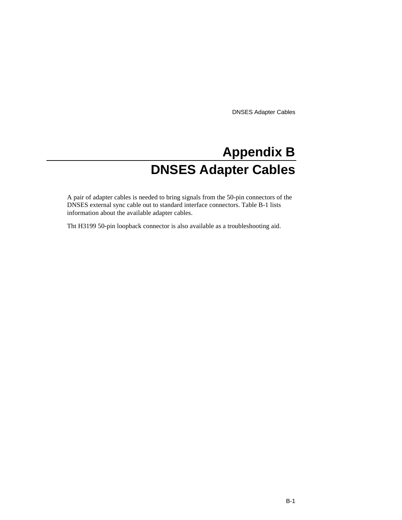# **Appendix B DNSES Adapter Cables**

A pair of adapter cables is needed to bring signals from the 50-pin connectors of the DNSES external sync cable out to standard interface connectors. Table B-1 lists information about the available adapter cables.

Tht H3199 50-pin loopback connector is also available as a troubleshooting aid.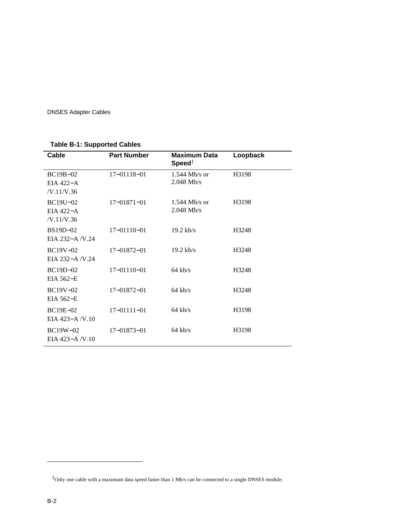## **Table B-1: Supported Cables**

| Cable                                 | <b>Part Number</b> | <b>Maximum Data</b><br>Speed <sup>1</sup> | Loopback |
|---------------------------------------|--------------------|-------------------------------------------|----------|
| $BC19B-02$<br>EIA 422-A<br>/V.11/V.36 | $17 - 01118 - 01$  | $1.544$ Mb/s or<br>$2.048$ Mb/s           | H3198    |
| BC19U-02<br>EIA $422-A$<br>/V.11/V.36 | $17 - 01871 - 01$  | $1.544$ Mb/s or<br>$2.048$ Mb/s           | H3198    |
| $BS19D-02$<br>EIA 232-A /V.24         | $17 - 01110 - 01$  | $19.2$ kb/s                               | H3248    |
| BC19V-02<br>EIA 232-A/V.24            | $17 - 01872 - 01$  | $19.2$ kb/s                               | H3248    |
| BC19D-02<br>EIA 562-E                 | $17 - 01110 - 01$  | $64$ kb/s                                 | H3248    |
| BC19V-02<br>EIA 562-E                 | $17 - 01872 - 01$  | $64$ kb/s                                 | H3248    |
| BC19E-02<br>EIA $423 - A/V.10$        | $17 - 01111 - 01$  | $64$ kb/s                                 | H3198    |
| $BC19W-02$<br>EIA $423 - A/V.10$      | $17 - 01873 - 01$  | $64$ kb/s                                 | H3198    |

 $1$ Only one cable with a maximum data speed faster than 1 Mb/s can be connected to a single DNSES module.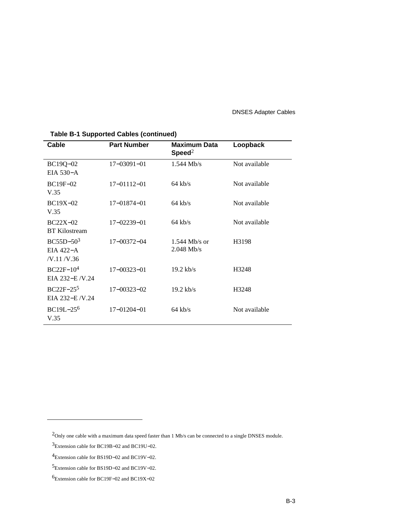| Cable                                  | <b>Part Number</b> | <b>Maximum Data</b><br>Speed <sup>2</sup> | Loopback      |
|----------------------------------------|--------------------|-------------------------------------------|---------------|
| BC19Q-02<br>$EIA$ 530-A                | $17 - 03091 - 01$  | $1.544$ Mb/s                              | Not available |
| $BC19F-02$<br>V.35                     | $17 - 01112 - 01$  | $64$ kb/s                                 | Not available |
| $BC19X-02$<br>V.35                     | 17-01874-01        | $64$ kb/s                                 | Not available |
| $BC22X-02$<br><b>BT</b> Kilostream     | 17-02239-01        | $64$ kb/s                                 | Not available |
| $BC55D-503$<br>EIA 422-A<br>/V.11/V.36 | $17 - 00372 - 04$  | $1.544$ Mb/s or<br>$2.048$ Mb/s           | H3198         |
| $BC22F-104$<br>EIA 232-E/V.24          | $17 - 00323 - 01$  | $19.2$ kb/s                               | H3248         |
| $BC22F-255$<br>EIA 232-E /V.24         | $17 - 00323 - 02$  | $19.2$ kb/s                               | H3248         |
| BC19L-25 <sup>6</sup><br>V.35          | $17 - 01204 - 01$  | $64$ kb/s                                 | Not available |

### **Table B-1 Supported Cables (continued)**

<sup>2</sup>Only one cable with a maximum data speed faster than 1 Mb/s can be connected to a single DNSES module.

<sup>3</sup>Extension cable for BC19B−02 and BC19U−02.

<sup>4</sup>Extension cable for BS19D−02 and BC19V−02.

<sup>5</sup>Extension cable for BS19D−02 and BC19V−02.

<sup>6</sup>Extension cable for BC19F−02 and BC19X−02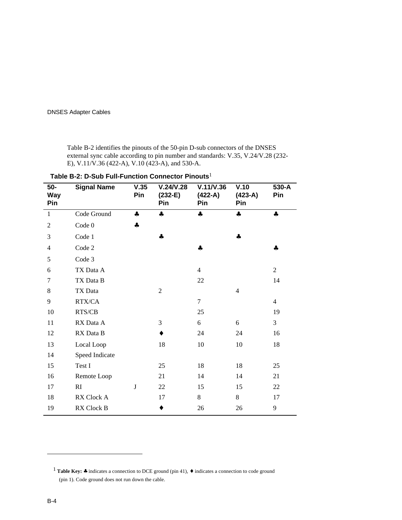Table B-2 identifies the pinouts of the 50-pin D-sub connectors of the DNSES external sync cable according to pin number and standards: V.35, V.24/V.28 (232- E), V.11/V.36 (422-A), V.10 (423-A), and 530-A.

| 50-<br><b>Way</b><br>Pin | <b>Signal Name</b> | V.35<br>Pin | V.24/V.28<br>$(232-E)$<br>Pin | V.11/V.36<br>$(422-A)$<br>Pin | V.10<br>$(423-A)$<br>Pin | 530-A<br>Pin   |  |  |  |  |
|--------------------------|--------------------|-------------|-------------------------------|-------------------------------|--------------------------|----------------|--|--|--|--|
| $\mathbf{1}$             | Code Ground        | 4           | 4                             | 4                             | 4                        | 4              |  |  |  |  |
| $\overline{2}$           | Code 0             | 4           |                               |                               |                          |                |  |  |  |  |
| 3                        | Code 1             |             | ቆ                             |                               | 4                        |                |  |  |  |  |
| $\overline{4}$           | Code 2             |             |                               | 4                             |                          | 4              |  |  |  |  |
| 5                        | Code 3             |             |                               |                               |                          |                |  |  |  |  |
| 6                        | TX Data A          |             |                               | $\overline{4}$                |                          | $\overline{2}$ |  |  |  |  |
| 7                        | TX Data B          |             |                               | 22                            |                          | 14             |  |  |  |  |
| 8                        | TX Data            |             | $\overline{2}$                |                               | $\overline{4}$           |                |  |  |  |  |
| 9                        | RTX/CA             |             |                               | $\tau$                        |                          | $\overline{4}$ |  |  |  |  |
| 10                       | RTS/CB             |             |                               | 25                            |                          | 19             |  |  |  |  |
| 11                       | RX Data A          |             | 3                             | 6                             | 6                        | 3              |  |  |  |  |
| 12                       | RX Data B          |             |                               | 24                            | 24                       | 16             |  |  |  |  |
| 13                       | Local Loop         |             | 18                            | 10                            | 10                       | 18             |  |  |  |  |
| 14                       | Speed Indicate     |             |                               |                               |                          |                |  |  |  |  |
| 15                       | Test I             |             | 25                            | 18                            | 18                       | 25             |  |  |  |  |
| 16                       | Remote Loop        |             | 21                            | 14                            | 14                       | 21             |  |  |  |  |
| 17                       | RI                 | J           | 22                            | 15                            | 15                       | 22             |  |  |  |  |
| 18                       | RX Clock A         |             | 17                            | 8                             | 8                        | 17             |  |  |  |  |
| 19                       | RX Clock B         |             | ٠                             | 26                            | 26                       | 9              |  |  |  |  |

**Table B-2: D-Sub Full-Function Connector Pinouts**1

<sup>1</sup> **Table Key:** ♣ indicates a connection to DCE ground (pin 41), ♦ indicates a connection to code ground (pin 1). Code ground does not run down the cable.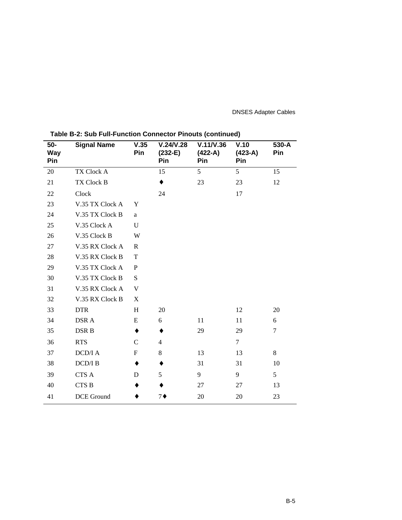| 50-<br>Way<br>Pin | <b>Signal Name</b> | V.35<br>Pin  | V.24/V.28<br>$(232-E)$<br>Pin | V.11/V.36<br>$(422-A)$<br>Pin | V.10<br>$(423-A)$<br>Pin | 530-A<br>Pin |
|-------------------|--------------------|--------------|-------------------------------|-------------------------------|--------------------------|--------------|
| 20                | TX Clock A         |              | 15                            | 5                             | 5                        | 15           |
| 21                | TX Clock B         |              | $\bullet$                     | 23                            | 23                       | 12           |
| 22                | Clock              |              | 24                            |                               | 17                       |              |
| 23                | V.35 TX Clock A    | Y            |                               |                               |                          |              |
| 24                | V.35 TX Clock B    | a            |                               |                               |                          |              |
| 25                | V.35 Clock A       | U            |                               |                               |                          |              |
| 26                | V.35 Clock B       | W            |                               |                               |                          |              |
| 27                | V.35 RX Clock A    | $\mathbb{R}$ |                               |                               |                          |              |
| 28                | V.35 RX Clock B    | $\mathbf T$  |                               |                               |                          |              |
| 29                | V.35 TX Clock A    | P            |                               |                               |                          |              |
| 30                | V.35 TX Clock B    | S            |                               |                               |                          |              |
| 31                | V.35 RX Clock A    | V            |                               |                               |                          |              |
| 32                | V.35 RX Clock B    | X            |                               |                               |                          |              |
| 33                | <b>DTR</b>         | H            | 20                            |                               | 12                       | 20           |
| 34                | DSR A              | E            | 6                             | 11                            | 11                       | 6            |
| 35                | DSR B              | ٠            | ٠                             | 29                            | 29                       | $\tau$       |
| 36                | <b>RTS</b>         | $\mathbf C$  | $\overline{4}$                |                               | $\overline{7}$           |              |
| 37                | DCD/I A            | $\mathbf F$  | 8                             | 13                            | 13                       | 8            |
| 38                | DCD/IB             | ٠            | ٠                             | 31                            | 31                       | 10           |
| 39                | $\rm CTS$ A        | D            | 5                             | 9                             | 9                        | 5            |
| 40                | CTS B              |              |                               | 27                            | 27                       | 13           |
| 41                | DCE Ground         |              | $7\bullet$                    | 20                            | 20                       | 23           |

**Table B-2: Sub Full-Function Connector Pinouts (continued)**